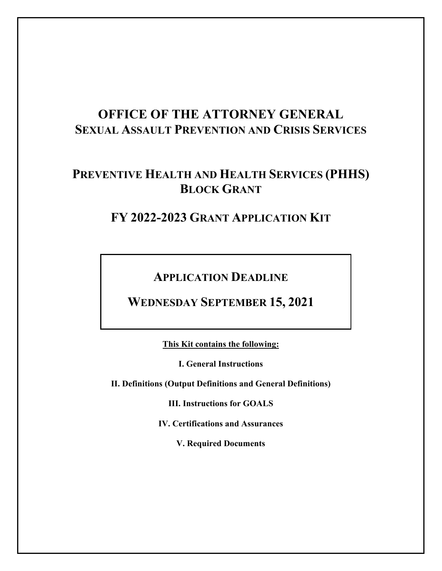# **OFFICE OF THE ATTORNEY GENERAL SEXUAL ASSAULT PREVENTION AND CRISIS SERVICES**

# **PREVENTIVE HEALTH AND HEALTH SERVICES (PHHS) BLOCK GRANT**

# **FY 2022-2023 GRANT APPLICATION KIT**

**APPLICATION DEADLINE** 

**WEDNESDAY SEPTEMBER 15, 2021**

**This Kit contains the following:**

**I. General Instructions**

**II. Definitions (Output Definitions and General Definitions)**

**III. Instructions for GOALS**

**IV. Certifications and Assurances**

**V. Required Documents**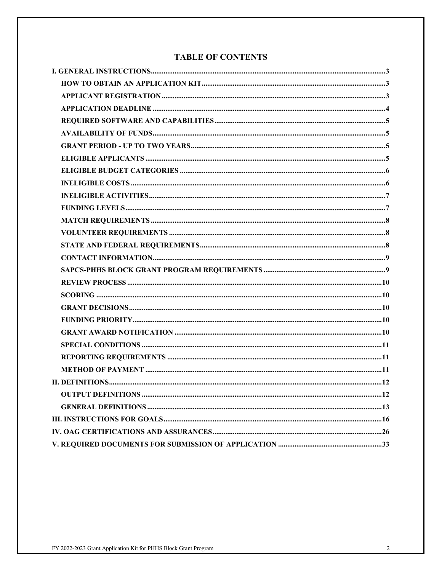## **TABLE OF CONTENTS**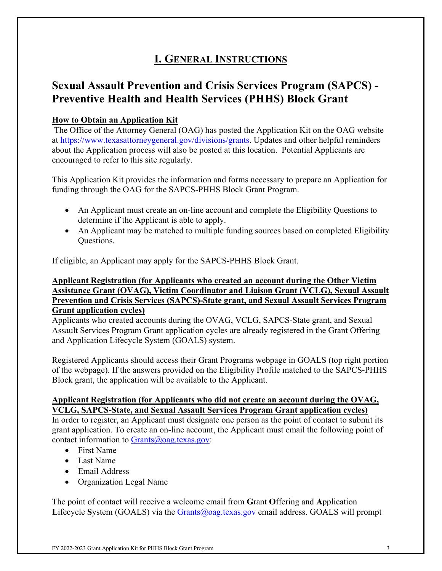# **I. GENERAL INSTRUCTIONS**

## **Sexual Assault Prevention and Crisis Services Program (SAPCS) - Preventive Health and Health Services (PHHS) Block Grant**

## **How to Obtain an Application Kit**

The Office of the Attorney General (OAG) has posted the Application Kit on the OAG website at [https://www.texasattorneygeneral.gov/divisions/grants.](https://www.texasattorneygeneral.gov/divisions/grants) Updates and other helpful reminders about the Application process will also be posted at this location. Potential Applicants are encouraged to refer to this site regularly.

This Application Kit provides the information and forms necessary to prepare an Application for funding through the OAG for the SAPCS-PHHS Block Grant Program.

- An Applicant must create an on-line account and complete the Eligibility Questions to determine if the Applicant is able to apply.
- An Applicant may be matched to multiple funding sources based on completed Eligibility Questions.

If eligible, an Applicant may apply for the SAPCS-PHHS Block Grant.

### **Applicant Registration (for Applicants who created an account during the Other Victim Assistance Grant (OVAG), Victim Coordinator and Liaison Grant (VCLG), Sexual Assault Prevention and Crisis Services (SAPCS)-State grant, and Sexual Assault Services Program Grant application cycles)**

Applicants who created accounts during the OVAG, VCLG, SAPCS-State grant, and Sexual Assault Services Program Grant application cycles are already registered in the Grant Offering and Application Lifecycle System (GOALS) system.

Registered Applicants should access their Grant Programs webpage in GOALS (top right portion of the webpage). If the answers provided on the Eligibility Profile matched to the SAPCS-PHHS Block grant, the application will be available to the Applicant.

### **Applicant Registration (for Applicants who did not create an account during the OVAG, VCLG, SAPCS-State, and Sexual Assault Services Program Grant application cycles)**

In order to register, an Applicant must designate one person as the point of contact to submit its grant application. To create an on-line account, the Applicant must email the following point of contact information to  $Grants@oaq.textexas.gov$ :

- First Name
- Last Name
- Email Address
- Organization Legal Name

The point of contact will receive a welcome email from **G**rant **O**ffering and **A**pplication **L**ifecycle **S**ystem (GOALS) via the [Grants@oag.texas.gov](mailto:Grants@oag.texas.gov) email address. GOALS will prompt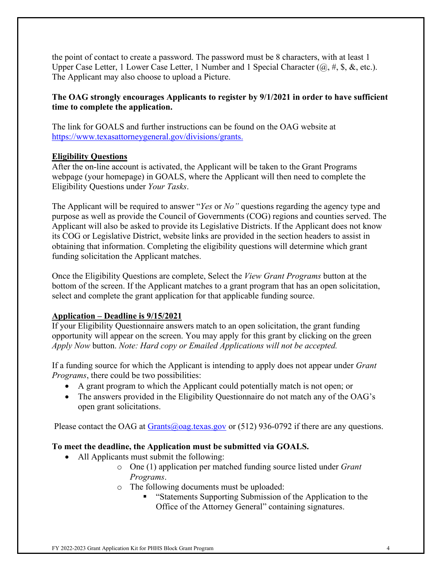the point of contact to create a password. The password must be 8 characters, with at least 1 Upper Case Letter, 1 Lower Case Letter, 1 Number and 1 Special Character  $(@, \#, \$, \&, etc.).$ The Applicant may also choose to upload a Picture.

## **The OAG strongly encourages Applicants to register by 9/1/2021 in order to have sufficient time to complete the application.**

The link for GOALS and further instructions can be found on the OAG website at [https://www.texasattorneygeneral.gov/divisions/grants.](https://www.texasattorneygeneral.gov/divisions/grants)

### **Eligibility Questions**

After the on-line account is activated, the Applicant will be taken to the Grant Programs webpage (your homepage) in GOALS, where the Applicant will then need to complete the Eligibility Questions under *Your Tasks*.

The Applicant will be required to answer "*Yes* or *No"* questions regarding the agency type and purpose as well as provide the Council of Governments (COG) regions and counties served. The Applicant will also be asked to provide its Legislative Districts. If the Applicant does not know its COG or Legislative District, website links are provided in the section headers to assist in obtaining that information. Completing the eligibility questions will determine which grant funding solicitation the Applicant matches.

Once the Eligibility Questions are complete, Select the *View Grant Programs* button at the bottom of the screen. If the Applicant matches to a grant program that has an open solicitation, select and complete the grant application for that applicable funding source.

## **Application – Deadline is 9/15/2021**

If your Eligibility Questionnaire answers match to an open solicitation, the grant funding opportunity will appear on the screen. You may apply for this grant by clicking on the green *Apply Now* button. *Note: Hard copy or Emailed Applications will not be accepted.*

If a funding source for which the Applicant is intending to apply does not appear under *Grant Programs*, there could be two possibilities:

- A grant program to which the Applicant could potentially match is not open; or
- The answers provided in the Eligibility Questionnaire do not match any of the OAG's open grant solicitations.

Please contact the OAG at  $Grants(\omega)$  oag.texas.gov or (512) 936-0792 if there are any questions.

## **To meet the deadline, the Application must be submitted via GOALS.**

- All Applicants must submit the following:
	- o One (1) application per matched funding source listed under *Grant Programs*.
	- o The following documents must be uploaded:
		- "Statements Supporting Submission of the Application to the Office of the Attorney General" containing signatures.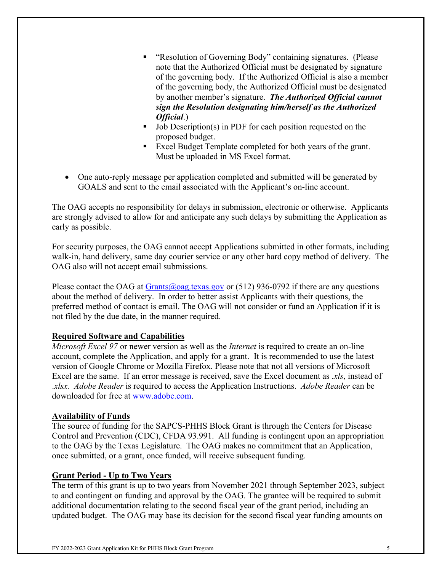- "Resolution of Governing Body" containing signatures. (Please note that the Authorized Official must be designated by signature of the governing body. If the Authorized Official is also a member of the governing body, the Authorized Official must be designated by another member's signature. *The Authorized Official cannot sign the Resolution designating him/herself as the Authorized Official*.)
- Job Description(s) in PDF for each position requested on the proposed budget.
- Excel Budget Template completed for both years of the grant. Must be uploaded in MS Excel format.
- One auto-reply message per application completed and submitted will be generated by GOALS and sent to the email associated with the Applicant's on-line account.

The OAG accepts no responsibility for delays in submission, electronic or otherwise. Applicants are strongly advised to allow for and anticipate any such delays by submitting the Application as early as possible.

For security purposes, the OAG cannot accept Applications submitted in other formats, including walk-in, hand delivery, same day courier service or any other hard copy method of delivery. The OAG also will not accept email submissions.

Please contact the OAG at [Grants@oag.texas.gov](mailto:Grants@oag.texas.gov) or  $(512)$  936-0792 if there are any questions about the method of delivery. In order to better assist Applicants with their questions, the preferred method of contact is email. The OAG will not consider or fund an Application if it is not filed by the due date, in the manner required.

## **Required Software and Capabilities**

*Microsoft Excel 97* or newer version as well as the *Internet* is required to create an on-line account, complete the Application, and apply for a grant. It is recommended to use the latest version of Google Chrome or Mozilla Firefox. Please note that not all versions of Microsoft Excel are the same. If an error message is received, save the Excel document as *.xls*, instead of .*xlsx. Adobe Reader* is required to access the Application Instructions. *Adobe Reader* can be downloaded for free at [www.adobe.com.](http://www.adobe.com/)

### **Availability of Funds**

The source of funding for the SAPCS-PHHS Block Grant is through the Centers for Disease Control and Prevention (CDC), CFDA 93.991. All funding is contingent upon an appropriation to the OAG by the Texas Legislature. The OAG makes no commitment that an Application, once submitted, or a grant, once funded, will receive subsequent funding.

### **Grant Period - Up to Two Years**

The term of this grant is up to two years from November 2021 through September 2023, subject to and contingent on funding and approval by the OAG. The grantee will be required to submit additional documentation relating to the second fiscal year of the grant period, including an updated budget. The OAG may base its decision for the second fiscal year funding amounts on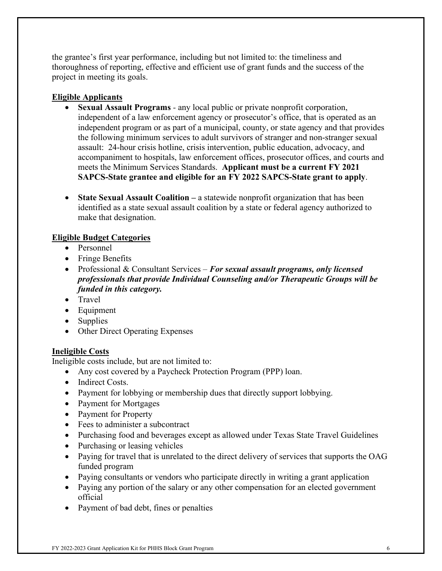the grantee's first year performance, including but not limited to: the timeliness and thoroughness of reporting, effective and efficient use of grant funds and the success of the project in meeting its goals.

### **Eligible Applicants**

- **Sexual Assault Programs** *-* any local public or private nonprofit corporation, independent of a law enforcement agency or prosecutor's office, that is operated as an independent program or as part of a municipal, county, or state agency and that provides the following minimum services to adult survivors of stranger and non-stranger sexual assault: 24-hour crisis hotline, crisis intervention, public education, advocacy, and accompaniment to hospitals, law enforcement offices, prosecutor offices, and courts and meets the Minimum Services Standards. **Applicant must be a current FY 2021 SAPCS-State grantee and eligible for an FY 2022 SAPCS-State grant to apply**.
- **State Sexual Assault Coalition** a statewide nonprofit organization that has been identified as a state sexual assault coalition by a state or federal agency authorized to make that designation.

## **Eligible Budget Categories**

- Personnel
- Fringe Benefits
- Professional & Consultant Services *For sexual assault programs, only licensed professionals that provide Individual Counseling and/or Therapeutic Groups will be funded in this category.*
- Travel
- Equipment
- Supplies
- Other Direct Operating Expenses

### **Ineligible Costs**

Ineligible costs include, but are not limited to:

- Any cost covered by a Paycheck Protection Program (PPP) loan.
- Indirect Costs.
- Payment for lobbying or membership dues that directly support lobbying.
- Payment for Mortgages
- Payment for Property
- Fees to administer a subcontract
- Purchasing food and beverages except as allowed under Texas State Travel Guidelines
- Purchasing or leasing vehicles
- Paying for travel that is unrelated to the direct delivery of services that supports the OAG funded program
- Paying consultants or vendors who participate directly in writing a grant application
- Paying any portion of the salary or any other compensation for an elected government official
- Payment of bad debt, fines or penalties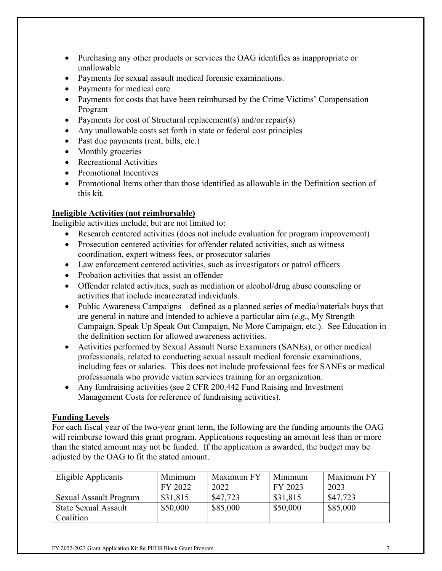- Purchasing any other products or services the OAG identifies as inappropriate or unallowable
- Payments for sexual assault medical forensic examinations.
- Payments for medical care
- Payments for costs that have been reimbursed by the Crime Victims' Compensation Program
- Payments for cost of Structural replacement(s) and/or repair(s)
- Any unallowable costs set forth in state or federal cost principles
- Past due payments (rent, bills, etc.)
- Monthly groceries
- Recreational Activities
- Promotional Incentives
- Promotional Items other than those identified as allowable in the Definition section of this kit.

## **Ineligible Activities (not reimbursable)**

Ineligible activities include, but are not limited to:

- Research centered activities (does not include evaluation for program improvement)
- Prosecution centered activities for offender related activities, such as witness coordination, expert witness fees, or prosecutor salaries
- Law enforcement centered activities, such as investigators or patrol officers
- Probation activities that assist an offender
- Offender related activities, such as mediation or alcohol/drug abuse counseling or activities that include incarcerated individuals.
- Public Awareness Campaigns defined as a planned series of media/materials buys that are general in nature and intended to achieve a particular aim (*e.g.*, My Strength Campaign, Speak Up Speak Out Campaign, No More Campaign, etc.). See Education in the definition section for allowed awareness activities.
- Activities performed by Sexual Assault Nurse Examiners (SANEs), or other medical professionals, related to conducting sexual assault medical forensic examinations, including fees or salaries. This does not include professional fees for SANEs or medical professionals who provide victim services training for an organization.
- Any fundraising activities (see 2 CFR 200.442 Fund Raising and Investment Management Costs for reference of fundraising activities).

### **Funding Levels**

For each fiscal year of the two-year grant term, the following are the funding amounts the OAG will reimburse toward this grant program. Applications requesting an amount less than or more than the stated amount may not be funded. If the application is awarded, the budget may be adjusted by the OAG to fit the stated amount.

| Eligible Applicants           | Minimum<br>FY 2022 | Maximum FY<br>2022 | Minimum<br>FY 2023 | Maximum FY<br>2023 |
|-------------------------------|--------------------|--------------------|--------------------|--------------------|
| <b>Sexual Assault Program</b> | \$31,815           | \$47,723           | \$31,815           | \$47,723           |
| <b>State Sexual Assault</b>   | \$50,000           | \$85,000           | \$50,000           | \$85,000           |
| Coalition                     |                    |                    |                    |                    |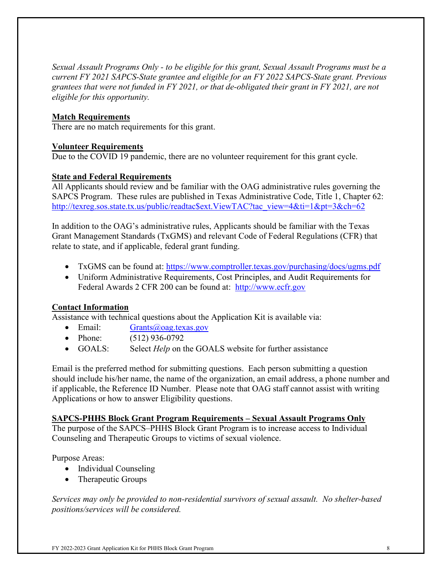*Sexual Assault Programs Only - to be eligible for this grant, Sexual Assault Programs must be a current FY 2021 SAPCS-State grantee and eligible for an FY 2022 SAPCS-State grant. Previous grantees that were not funded in FY 2021, or that de-obligated their grant in FY 2021, are not eligible for this opportunity.* 

### **Match Requirements**

There are no match requirements for this grant.

### **Volunteer Requirements**

Due to the COVID 19 pandemic, there are no volunteer requirement for this grant cycle.

### **State and Federal Requirements**

All Applicants should review and be familiar with the OAG administrative rules governing the SAPCS Program. These rules are published in Texas Administrative Code, Title 1, Chapter 62: [http://texreg.sos.state.tx.us/public/readtac\\$ext.ViewTAC?tac\\_view=4&ti=1&pt=3&ch=62](http://texreg.sos.state.tx.us/public/readtac$ext.ViewTAC?tac_view=4&ti=1&pt=3&ch=62)

In addition to the OAG's administrative rules, Applicants should be familiar with the Texas Grant Management Standards (TxGMS) and relevant Code of Federal Regulations (CFR) that relate to state, and if applicable, federal grant funding.

- TxGMS can be found at:<https://www.comptroller.texas.gov/purchasing/docs/ugms.pdf>
- Uniform Administrative Requirements, Cost Principles, and Audit Requirements for Federal Awards 2 CFR 200 can be found at: [http://www.ecfr.gov](http://www.ecfr.gov/)

## **Contact Information**

Assistance with technical questions about the Application Kit is available via:

- Email: [Grants@oag.texas.gov](mailto:Grants@oag.texas.gov)
- Phone: (512) 936-0792
- GOALS: Select *Help* on the GOALS website for further assistance

Email is the preferred method for submitting questions. Each person submitting a question should include his/her name, the name of the organization, an email address, a phone number and if applicable, the Reference ID Number. Please note that OAG staff cannot assist with writing Applications or how to answer Eligibility questions.

### **SAPCS-PHHS Block Grant Program Requirements – Sexual Assault Programs Only**

The purpose of the SAPCS–PHHS Block Grant Program is to increase access to Individual Counseling and Therapeutic Groups to victims of sexual violence.

Purpose Areas:

- Individual Counseling
- Therapeutic Groups

*Services may only be provided to non-residential survivors of sexual assault. No shelter-based positions/services will be considered.*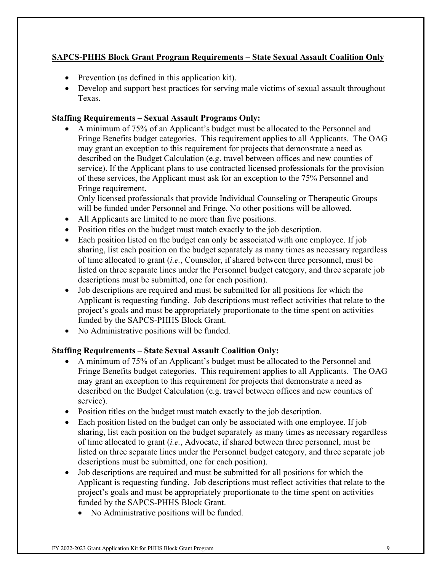## **SAPCS-PHHS Block Grant Program Requirements – State Sexual Assault Coalition Only**

- Prevention (as defined in this application kit).
- Develop and support best practices for serving male victims of sexual assault throughout Texas.

### **Staffing Requirements – Sexual Assault Programs Only:**

• A minimum of 75% of an Applicant's budget must be allocated to the Personnel and Fringe Benefits budget categories. This requirement applies to all Applicants. The OAG may grant an exception to this requirement for projects that demonstrate a need as described on the Budget Calculation (e.g. travel between offices and new counties of service). If the Applicant plans to use contracted licensed professionals for the provision of these services, the Applicant must ask for an exception to the 75% Personnel and Fringe requirement.

Only licensed professionals that provide Individual Counseling or Therapeutic Groups will be funded under Personnel and Fringe. No other positions will be allowed.

- All Applicants are limited to no more than five positions.
- Position titles on the budget must match exactly to the job description.
- Each position listed on the budget can only be associated with one employee. If job sharing, list each position on the budget separately as many times as necessary regardless of time allocated to grant (*i.e.*, Counselor, if shared between three personnel, must be listed on three separate lines under the Personnel budget category, and three separate job descriptions must be submitted, one for each position).
- Job descriptions are required and must be submitted for all positions for which the Applicant is requesting funding. Job descriptions must reflect activities that relate to the project's goals and must be appropriately proportionate to the time spent on activities funded by the SAPCS-PHHS Block Grant.
- No Administrative positions will be funded.

### **Staffing Requirements – State Sexual Assault Coalition Only:**

- A minimum of 75% of an Applicant's budget must be allocated to the Personnel and Fringe Benefits budget categories. This requirement applies to all Applicants. The OAG may grant an exception to this requirement for projects that demonstrate a need as described on the Budget Calculation (e.g. travel between offices and new counties of service).
- Position titles on the budget must match exactly to the job description.
- Each position listed on the budget can only be associated with one employee. If job sharing, list each position on the budget separately as many times as necessary regardless of time allocated to grant (*i.e.*, Advocate, if shared between three personnel, must be listed on three separate lines under the Personnel budget category, and three separate job descriptions must be submitted, one for each position).
- Job descriptions are required and must be submitted for all positions for which the Applicant is requesting funding. Job descriptions must reflect activities that relate to the project's goals and must be appropriately proportionate to the time spent on activities funded by the SAPCS-PHHS Block Grant.
	- No Administrative positions will be funded.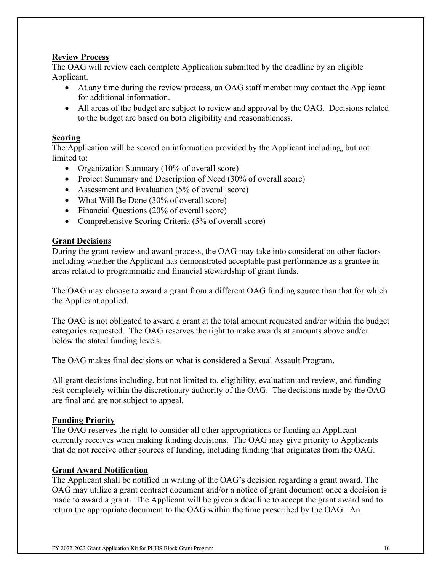### **Review Process**

The OAG will review each complete Application submitted by the deadline by an eligible Applicant.

- At any time during the review process, an OAG staff member may contact the Applicant for additional information.
- All areas of the budget are subject to review and approval by the OAG. Decisions related to the budget are based on both eligibility and reasonableness.

#### **Scoring**

The Application will be scored on information provided by the Applicant including, but not limited to:

- Organization Summary (10% of overall score)
- Project Summary and Description of Need (30% of overall score)
- Assessment and Evaluation (5% of overall score)
- What Will Be Done (30% of overall score)
- Financial Questions (20% of overall score)
- Comprehensive Scoring Criteria (5% of overall score)

#### **Grant Decisions**

During the grant review and award process, the OAG may take into consideration other factors including whether the Applicant has demonstrated acceptable past performance as a grantee in areas related to programmatic and financial stewardship of grant funds.

The OAG may choose to award a grant from a different OAG funding source than that for which the Applicant applied.

The OAG is not obligated to award a grant at the total amount requested and/or within the budget categories requested. The OAG reserves the right to make awards at amounts above and/or below the stated funding levels.

The OAG makes final decisions on what is considered a Sexual Assault Program.

All grant decisions including, but not limited to, eligibility, evaluation and review, and funding rest completely within the discretionary authority of the OAG. The decisions made by the OAG are final and are not subject to appeal.

#### **Funding Priority**

The OAG reserves the right to consider all other appropriations or funding an Applicant currently receives when making funding decisions. The OAG may give priority to Applicants that do not receive other sources of funding, including funding that originates from the OAG.

#### **Grant Award Notification**

The Applicant shall be notified in writing of the OAG's decision regarding a grant award. The OAG may utilize a grant contract document and/or a notice of grant document once a decision is made to award a grant. The Applicant will be given a deadline to accept the grant award and to return the appropriate document to the OAG within the time prescribed by the OAG. An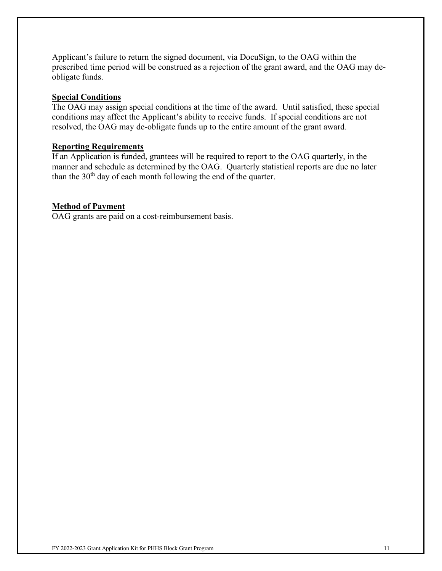Applicant's failure to return the signed document, via DocuSign, to the OAG within the prescribed time period will be construed as a rejection of the grant award, and the OAG may deobligate funds.

#### **Special Conditions**

The OAG may assign special conditions at the time of the award. Until satisfied, these special conditions may affect the Applicant's ability to receive funds. If special conditions are not resolved, the OAG may de-obligate funds up to the entire amount of the grant award.

#### **Reporting Requirements**

If an Application is funded, grantees will be required to report to the OAG quarterly, in the manner and schedule as determined by the OAG. Quarterly statistical reports are due no later than the  $30<sup>th</sup>$  day of each month following the end of the quarter.

#### **Method of Payment**

OAG grants are paid on a cost-reimbursement basis.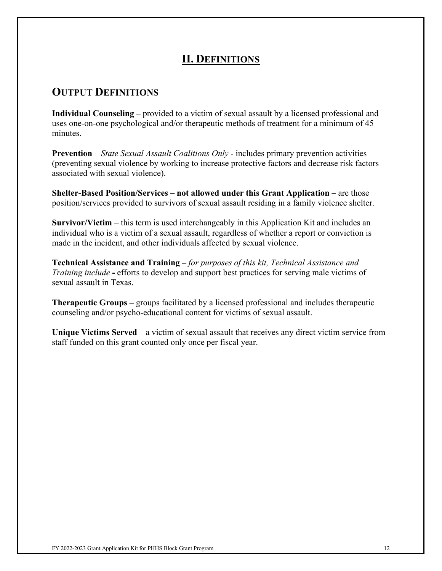## **II. DEFINITIONS**

## **OUTPUT DEFINITIONS**

**Individual Counseling –** provided to a victim of sexual assault by a licensed professional and uses one-on-one psychological and/or therapeutic methods of treatment for a minimum of 45 minutes.

**Prevention** – *State Sexual Assault Coalitions Only* - includes primary prevention activities (preventing sexual violence by working to increase protective factors and decrease risk factors associated with sexual violence).

**Shelter-Based Position/Services – not allowed under this Grant Application –** are those position/services provided to survivors of sexual assault residing in a family violence shelter.

**Survivor/Victim** – this term is used interchangeably in this Application Kit and includes an individual who is a victim of a sexual assault, regardless of whether a report or conviction is made in the incident, and other individuals affected by sexual violence.

**Technical Assistance and Training –** *for purposes of this kit, Technical Assistance and Training include* **-** efforts to develop and support best practices for serving male victims of sexual assault in Texas.

**Therapeutic Groups –** groups facilitated by a licensed professional and includes therapeutic counseling and/or psycho-educational content for victims of sexual assault.

**Unique Victims Served** – a victim of sexual assault that receives any direct victim service from staff funded on this grant counted only once per fiscal year.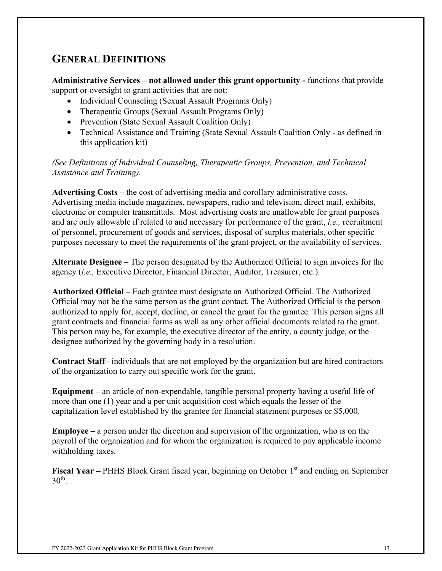## **GENERAL DEFINITIONS**

**Administrative Services – not allowed under this grant opportunity -** functions that provide support or oversight to grant activities that are not:

- Individual Counseling (Sexual Assault Programs Only)
- Therapeutic Groups (Sexual Assault Programs Only)
- Prevention (State Sexual Assault Coalition Only)
- Technical Assistance and Training (State Sexual Assault Coalition Only as defined in this application kit)

*(See Definitions of Individual Counseling, Therapeutic Groups, Prevention, and Technical Assistance and Training).* 

**Advertising Costs –** the cost of advertising media and corollary administrative costs. Advertising media include magazines, newspapers, radio and television, direct mail, exhibits, electronic or computer transmittals. Most advertising costs are unallowable for grant purposes and are only allowable if related to and necessary for performance of the grant, *i.e.,* recruitment of personnel, procurement of goods and services, disposal of surplus materials, other specific purposes necessary to meet the requirements of the grant project, or the availability of services.

**Alternate Designee** – The person designated by the Authorized Official to sign invoices for the agency (*i.e.,* Executive Director, Financial Director, Auditor, Treasurer, etc.).

**Authorized Official –** Each grantee must designate an Authorized Official. The Authorized Official may not be the same person as the grant contact. The Authorized Official is the person authorized to apply for, accept, decline, or cancel the grant for the grantee. This person signs all grant contracts and financial forms as well as any other official documents related to the grant. This person may be, for example, the executive director of the entity, a county judge, or the designee authorized by the governing body in a resolution.

**Contract Staff–** individuals that are not employed by the organization but are hired contractors of the organization to carry out specific work for the grant.

**Equipment –** an article of non-expendable, tangible personal property having a useful life of more than one (1) year and a per unit acquisition cost which equals the lesser of the capitalization level established by the grantee for financial statement purposes or \$5,000.

**Employee –** a person under the direction and supervision of the organization, who is on the payroll of the organization and for whom the organization is required to pay applicable income withholding taxes.

**Fiscal Year –** PHHS Block Grant fiscal year, beginning on October 1<sup>st</sup> and ending on September  $30<sup>th</sup>$ .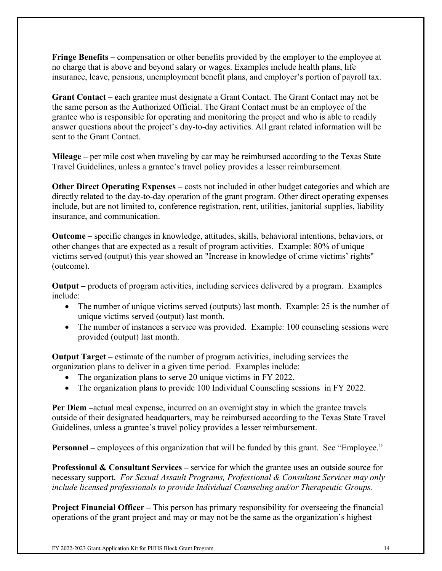**Fringe Benefits –** compensation or other benefits provided by the employer to the employee at no charge that is above and beyond salary or wages. Examples include health plans, life insurance, leave, pensions, unemployment benefit plans, and employer's portion of payroll tax.

**Grant Contact – e**ach grantee must designate a Grant Contact. The Grant Contact may not be the same person as the Authorized Official. The Grant Contact must be an employee of the grantee who is responsible for operating and monitoring the project and who is able to readily answer questions about the project's day-to-day activities. All grant related information will be sent to the Grant Contact.

**Mileage –** per mile cost when traveling by car may be reimbursed according to the Texas State Travel Guidelines, unless a grantee's travel policy provides a lesser reimbursement.

**Other Direct Operating Expenses – costs not included in other budget categories and which are** directly related to the day-to-day operation of the grant program. Other direct operating expenses include, but are not limited to, conference registration, rent, utilities, janitorial supplies, liability insurance, and communication.

**Outcome –** specific changes in knowledge, attitudes, skills, behavioral intentions, behaviors, or other changes that are expected as a result of program activities.Example: 80% of unique victims served (output) this year showed an "Increase in knowledge of crime victims' rights" (outcome).

**Output –** products of program activities, including services delivered by a program. Examples include:

- The number of unique victims served (outputs) last month. Example: 25 is the number of unique victims served (output) last month.
- The number of instances a service was provided. Example: 100 counseling sessions were provided (output) last month.

**Output Target –** estimate of the number of program activities, including services the organization plans to deliver in a given time period. Examples include:

- The organization plans to serve 20 unique victims in FY 2022.
- The organization plans to provide 100 Individual Counseling sessions in FY 2022.

**Per Diem –**actual meal expense, incurred on an overnight stay in which the grantee travels outside of their designated headquarters, may be reimbursed according to the Texas State Travel Guidelines, unless a grantee's travel policy provides a lesser reimbursement.

**Personnel** – employees of this organization that will be funded by this grant. See "Employee."

**Professional & Consultant Services –** service for which the grantee uses an outside source for necessary support. *For Sexual Assault Programs, Professional & Consultant Services may only include licensed professionals to provide Individual Counseling and/or Therapeutic Groups.*

**Project Financial Officer** – This person has primary responsibility for overseeing the financial operations of the grant project and may or may not be the same as the organization's highest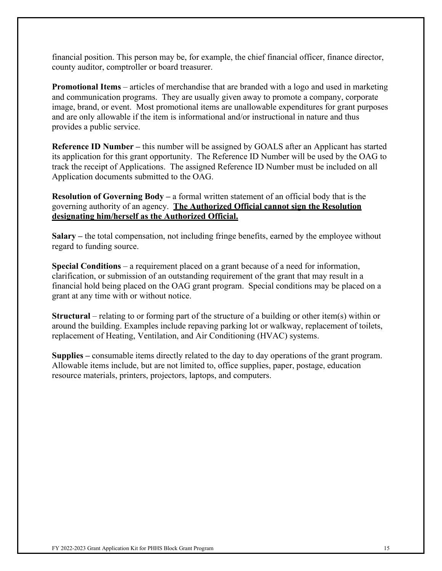financial position. This person may be, for example, the chief financial officer, finance director, county auditor, comptroller or board treasurer.

**Promotional Items** – articles of merchandise that are branded with a logo and used in marketing and communication programs. They are usually given away to promote a company, corporate image, brand, or event. Most promotional items are unallowable expenditures for grant purposes and are only allowable if the item is informational and/or instructional in nature and thus provides a public service.

**Reference ID Number –** this number will be assigned by GOALS after an Applicant has started its application for this grant opportunity. The Reference ID Number will be used by the OAG to track the receipt of Applications. The assigned Reference ID Number must be included on all Application documents submitted to the OAG.

**Resolution of Governing Body –** a formal written statement of an official body that is the governing authority of an agency. **The Authorized Official cannot sign the Resolution designating him/herself as the Authorized Official.**

**Salary –** the total compensation, not including fringe benefits, earned by the employee without regard to funding source.

**Special Conditions** – a requirement placed on a grant because of a need for information, clarification, or submission of an outstanding requirement of the grant that may result in a financial hold being placed on the OAG grant program. Special conditions may be placed on a grant at any time with or without notice.

**Structural** – relating to or forming part of the structure of a building or other item(s) within or around the building. Examples include repaving parking lot or walkway, replacement of toilets, replacement of Heating, Ventilation, and Air Conditioning (HVAC) systems.

**Supplies –** consumable items directly related to the day to day operations of the grant program. Allowable items include, but are not limited to, office supplies, paper, postage, education resource materials, printers, projectors, laptops, and computers.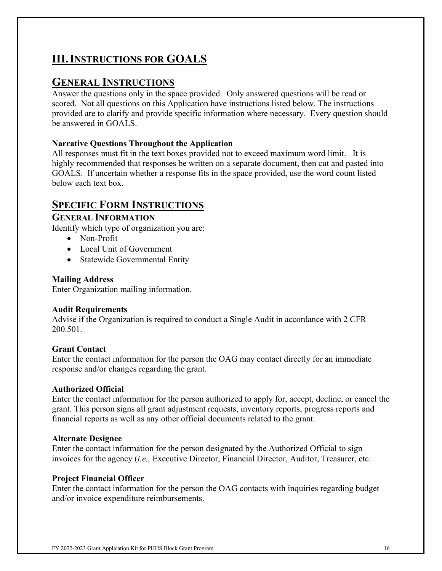# **III.INSTRUCTIONS FOR GOALS**

## **GENERAL INSTRUCTIONS**

Answer the questions only in the space provided. Only answered questions will be read or scored. Not all questions on this Application have instructions listed below. The instructions provided are to clarify and provide specific information where necessary. Every question should be answered in GOALS.

## **Narrative Questions Throughout the Application**

All responses must fit in the text boxes provided not to exceed maximum word limit. It is highly recommended that responses be written on a separate document, then cut and pasted into GOALS. If uncertain whether a response fits in the space provided, use the word count listed below each text box.

## **SPECIFIC FORM INSTRUCTIONS**

## **GENERAL INFORMATION**

Identify which type of organization you are:

- Non-Profit
- Local Unit of Government
- Statewide Governmental Entity

#### **Mailing Address**

Enter Organization mailing information.

### **Audit Requirements**

Advise if the Organization is required to conduct a Single Audit in accordance with 2 CFR 200.501.

### **Grant Contact**

Enter the contact information for the person the OAG may contact directly for an immediate response and/or changes regarding the grant.

### **Authorized Official**

Enter the contact information for the person authorized to apply for, accept, decline, or cancel the grant. This person signs all grant adjustment requests, inventory reports, progress reports and financial reports as well as any other official documents related to the grant.

### **Alternate Designee**

Enter the contact information for the person designated by the Authorized Official to sign invoices for the agency (*i.e.,* Executive Director, Financial Director, Auditor, Treasurer, etc.

### **Project Financial Officer**

Enter the contact information for the person the OAG contacts with inquiries regarding budget and/or invoice expenditure reimbursements.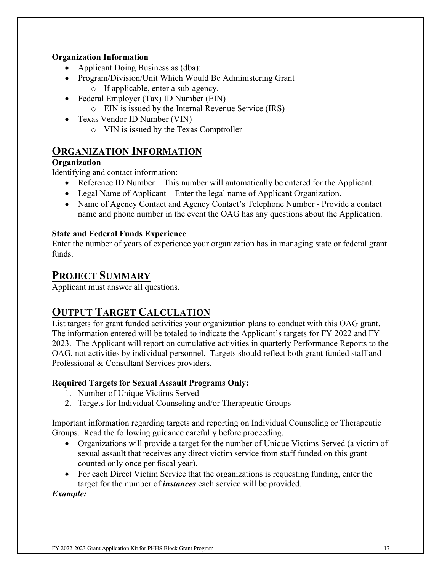## **Organization Information**

- Applicant Doing Business as (dba):
- Program/Division/Unit Which Would Be Administering Grant
	- o If applicable, enter a sub-agency.
- Federal Employer (Tax) ID Number (EIN)
	- o EIN is issued by the Internal Revenue Service (IRS)
- Texas Vendor ID Number (VIN)
	- o VIN is issued by the Texas Comptroller

## **ORGANIZATION INFORMATION**

## **Organization**

Identifying and contact information:

- Reference ID Number This number will automatically be entered for the Applicant.
- Legal Name of Applicant Enter the legal name of Applicant Organization.
- Name of Agency Contact and Agency Contact's Telephone Number Provide a contact name and phone number in the event the OAG has any questions about the Application.

## **State and Federal Funds Experience**

Enter the number of years of experience your organization has in managing state or federal grant funds.

## **PROJECT SUMMARY**

Applicant must answer all questions.

## **OUTPUT TARGET CALCULATION**

List targets for grant funded activities your organization plans to conduct with this OAG grant. The information entered will be totaled to indicate the Applicant's targets for FY 2022 and FY 2023. The Applicant will report on cumulative activities in quarterly Performance Reports to the OAG, not activities by individual personnel. Targets should reflect both grant funded staff and Professional & Consultant Services providers.

## **Required Targets for Sexual Assault Programs Only:**

- 1. Number of Unique Victims Served
- 2. Targets for Individual Counseling and/or Therapeutic Groups

Important information regarding targets and reporting on Individual Counseling or Therapeutic Groups. Read the following guidance carefully before proceeding.

- Organizations will provide a target for the number of Unique Victims Served (a victim of sexual assault that receives any direct victim service from staff funded on this grant counted only once per fiscal year).
- For each Direct Victim Service that the organizations is requesting funding, enter the target for the number of *instances* each service will be provided.

*Example:*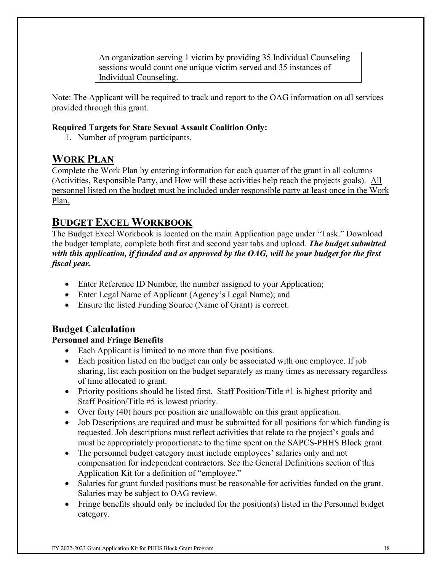An organization serving 1 victim by providing 35 Individual Counseling sessions would count one unique victim served and 35 instances of Individual Counseling.

Note: The Applicant will be required to track and report to the OAG information on all services provided through this grant.

## **Required Targets for State Sexual Assault Coalition Only:**

1. Number of program participants.

## **WORK PLAN**

Complete the Work Plan by entering information for each quarter of the grant in all columns (Activities, Responsible Party, and How will these activities help reach the projects goals). All personnel listed on the budget must be included under responsible party at least once in the Work Plan.

## **BUDGET EXCEL WORKBOOK**

The Budget Excel Workbook is located on the main Application page under "Task." Download the budget template, complete both first and second year tabs and upload. *The budget submitted with this application, if funded and as approved by the OAG, will be your budget for the first fiscal year.*

- Enter Reference ID Number, the number assigned to your Application;
- Enter Legal Name of Applicant (Agency's Legal Name); and
- Ensure the listed Funding Source (Name of Grant) is correct.

## **Budget Calculation**

## **Personnel and Fringe Benefits**

- Each Applicant is limited to no more than five positions.
- Each position listed on the budget can only be associated with one employee. If job sharing, list each position on the budget separately as many times as necessary regardless of time allocated to grant.
- Priority positions should be listed first. Staff Position/Title #1 is highest priority and Staff Position/Title #5 is lowest priority.
- Over forty (40) hours per position are unallowable on this grant application.
- Job Descriptions are required and must be submitted for all positions for which funding is requested. Job descriptions must reflect activities that relate to the project's goals and must be appropriately proportionate to the time spent on the SAPCS-PHHS Block grant.
- The personnel budget category must include employees' salaries only and not compensation for independent contractors. See the General Definitions section of this Application Kit for a definition of "employee."
- Salaries for grant funded positions must be reasonable for activities funded on the grant. Salaries may be subject to OAG review.
- Fringe benefits should only be included for the position(s) listed in the Personnel budget category.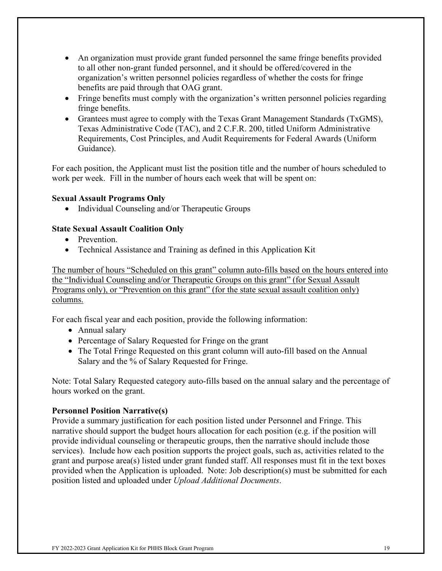- An organization must provide grant funded personnel the same fringe benefits provided to all other non-grant funded personnel, and it should be offered/covered in the organization's written personnel policies regardless of whether the costs for fringe benefits are paid through that OAG grant.
- Fringe benefits must comply with the organization's written personnel policies regarding fringe benefits.
- Grantees must agree to comply with the Texas Grant Management Standards (TxGMS), Texas Administrative Code (TAC), and 2 C.F.R. 200, titled Uniform Administrative Requirements, Cost Principles, and Audit Requirements for Federal Awards (Uniform Guidance).

For each position, the Applicant must list the position title and the number of hours scheduled to work per week. Fill in the number of hours each week that will be spent on:

#### **Sexual Assault Programs Only**

• Individual Counseling and/or Therapeutic Groups

#### **State Sexual Assault Coalition Only**

- Prevention.
- Technical Assistance and Training as defined in this Application Kit

The number of hours "Scheduled on this grant" column auto-fills based on the hours entered into the "Individual Counseling and/or Therapeutic Groups on this grant" (for Sexual Assault Programs only), or "Prevention on this grant" (for the state sexual assault coalition only) columns.

For each fiscal year and each position, provide the following information:

- Annual salary
- Percentage of Salary Requested for Fringe on the grant
- The Total Fringe Requested on this grant column will auto-fill based on the Annual Salary and the % of Salary Requested for Fringe.

Note: Total Salary Requested category auto-fills based on the annual salary and the percentage of hours worked on the grant.

#### **Personnel Position Narrative(s)**

Provide a summary justification for each position listed under Personnel and Fringe. This narrative should support the budget hours allocation for each position (e.g. if the position will provide individual counseling or therapeutic groups, then the narrative should include those services). Include how each position supports the project goals, such as, activities related to the grant and purpose area(s) listed under grant funded staff. All responses must fit in the text boxes provided when the Application is uploaded. Note: Job description(s) must be submitted for each position listed and uploaded under *Upload Additional Documents*.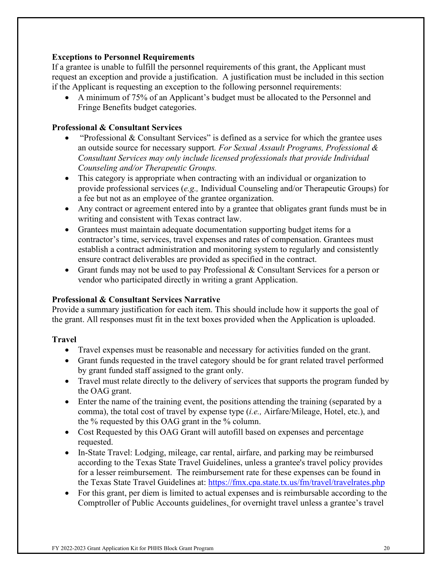#### **Exceptions to Personnel Requirements**

If a grantee is unable to fulfill the personnel requirements of this grant, the Applicant must request an exception and provide a justification. A justification must be included in this section if the Applicant is requesting an exception to the following personnel requirements:

• A minimum of 75% of an Applicant's budget must be allocated to the Personnel and Fringe Benefits budget categories.

#### **Professional & Consultant Services**

- "Professional & Consultant Services" is defined as a service for which the grantee uses an outside source for necessary support*. For Sexual Assault Programs, Professional & Consultant Services may only include licensed professionals that provide Individual Counseling and/or Therapeutic Groups.*
- This category is appropriate when contracting with an individual or organization to provide professional services (*e.g.,* Individual Counseling and/or Therapeutic Groups) for a fee but not as an employee of the grantee organization.
- Any contract or agreement entered into by a grantee that obligates grant funds must be in writing and consistent with Texas contract law.
- Grantees must maintain adequate documentation supporting budget items for a contractor's time, services, travel expenses and rates of compensation. Grantees must establish a contract administration and monitoring system to regularly and consistently ensure contract deliverables are provided as specified in the contract.
- Grant funds may not be used to pay Professional & Consultant Services for a person or vendor who participated directly in writing a grant Application.

### **Professional & Consultant Services Narrative**

Provide a summary justification for each item. This should include how it supports the goal of the grant. All responses must fit in the text boxes provided when the Application is uploaded.

#### **Travel**

- Travel expenses must be reasonable and necessary for activities funded on the grant.
- Grant funds requested in the travel category should be for grant related travel performed by grant funded staff assigned to the grant only.
- Travel must relate directly to the delivery of services that supports the program funded by the OAG grant.
- Enter the name of the training event, the positions attending the training (separated by a comma), the total cost of travel by expense type (*i.e.,* Airfare/Mileage, Hotel, etc.), and the % requested by this OAG grant in the % column.
- Cost Requested by this OAG Grant will autofill based on expenses and percentage requested.
- In-State Travel: Lodging, mileage, car rental, airfare, and parking may be reimbursed according to the Texas State Travel Guidelines, unless a grantee's travel policy provides for a lesser reimbursement. The reimbursement rate for these expenses can be found in the Texas State Travel Guidelines at:<https://fmx.cpa.state.tx.us/fm/travel/travelrates.php>
- For this grant, per diem is limited to actual expenses and is reimbursable according to the Comptroller of Public Accounts guidelines, for overnight travel unless a grantee's travel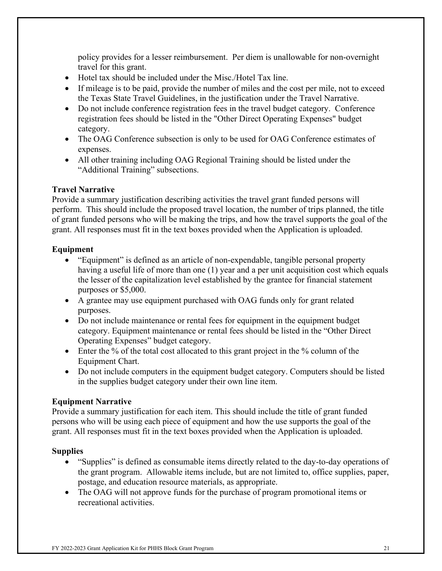policy provides for a lesser reimbursement. Per diem is unallowable for non-overnight travel for this grant.

- Hotel tax should be included under the Misc./Hotel Tax line.
- If mileage is to be paid, provide the number of miles and the cost per mile, not to exceed the Texas State Travel Guidelines, in the justification under the Travel Narrative.
- Do not include conference registration fees in the travel budget category. Conference registration fees should be listed in the "Other Direct Operating Expenses" budget category.
- The OAG Conference subsection is only to be used for OAG Conference estimates of expenses.
- All other training including OAG Regional Training should be listed under the "Additional Training" subsections.

#### **Travel Narrative**

Provide a summary justification describing activities the travel grant funded persons will perform. This should include the proposed travel location, the number of trips planned, the title of grant funded persons who will be making the trips, and how the travel supports the goal of the grant. All responses must fit in the text boxes provided when the Application is uploaded.

#### **Equipment**

- "Equipment" is defined as an article of non-expendable, tangible personal property having a useful life of more than one (1) year and a per unit acquisition cost which equals the lesser of the capitalization level established by the grantee for financial statement purposes or \$5,000.
- A grantee may use equipment purchased with OAG funds only for grant related purposes.
- Do not include maintenance or rental fees for equipment in the equipment budget category. Equipment maintenance or rental fees should be listed in the "Other Direct Operating Expenses" budget category.
- Enter the % of the total cost allocated to this grant project in the % column of the Equipment Chart.
- Do not include computers in the equipment budget category. Computers should be listed in the supplies budget category under their own line item.

### **Equipment Narrative**

Provide a summary justification for each item. This should include the title of grant funded persons who will be using each piece of equipment and how the use supports the goal of the grant. All responses must fit in the text boxes provided when the Application is uploaded.

#### **Supplies**

- "Supplies" is defined as consumable items directly related to the day-to-day operations of the grant program. Allowable items include, but are not limited to, office supplies, paper, postage, and education resource materials, as appropriate.
- The OAG will not approve funds for the purchase of program promotional items or recreational activities.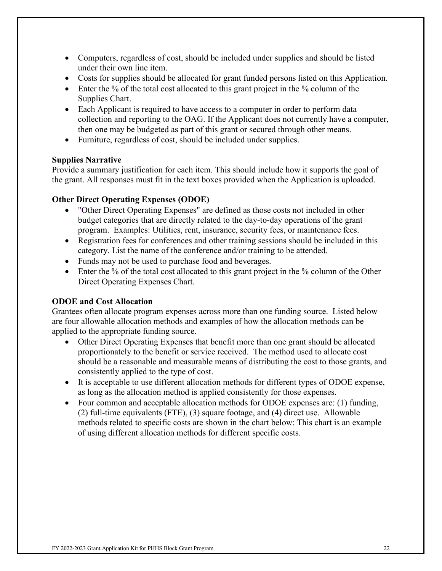- Computers, regardless of cost, should be included under supplies and should be listed under their own line item.
- Costs for supplies should be allocated for grant funded persons listed on this Application.
- Enter the % of the total cost allocated to this grant project in the % column of the Supplies Chart.
- Each Applicant is required to have access to a computer in order to perform data collection and reporting to the OAG. If the Applicant does not currently have a computer, then one may be budgeted as part of this grant or secured through other means.
- Furniture, regardless of cost, should be included under supplies.

### **Supplies Narrative**

Provide a summary justification for each item. This should include how it supports the goal of the grant. All responses must fit in the text boxes provided when the Application is uploaded.

## **Other Direct Operating Expenses (ODOE)**

- "Other Direct Operating Expenses" are defined as those costs not included in other budget categories that are directly related to the day-to-day operations of the grant program. Examples: Utilities, rent, insurance, security fees, or maintenance fees.
- Registration fees for conferences and other training sessions should be included in this category. List the name of the conference and/or training to be attended.
- Funds may not be used to purchase food and beverages.
- Enter the % of the total cost allocated to this grant project in the % column of the Other Direct Operating Expenses Chart.

## **ODOE and Cost Allocation**

Grantees often allocate program expenses across more than one funding source. Listed below are four allowable allocation methods and examples of how the allocation methods can be applied to the appropriate funding source.

- Other Direct Operating Expenses that benefit more than one grant should be allocated proportionately to the benefit or service received. The method used to allocate cost should be a reasonable and measurable means of distributing the cost to those grants, and consistently applied to the type of cost.
- It is acceptable to use different allocation methods for different types of ODOE expense, as long as the allocation method is applied consistently for those expenses.
- Four common and acceptable allocation methods for ODOE expenses are: (1) funding, (2) full-time equivalents (FTE), (3) square footage, and (4) direct use. Allowable methods related to specific costs are shown in the chart below: This chart is an example of using different allocation methods for different specific costs.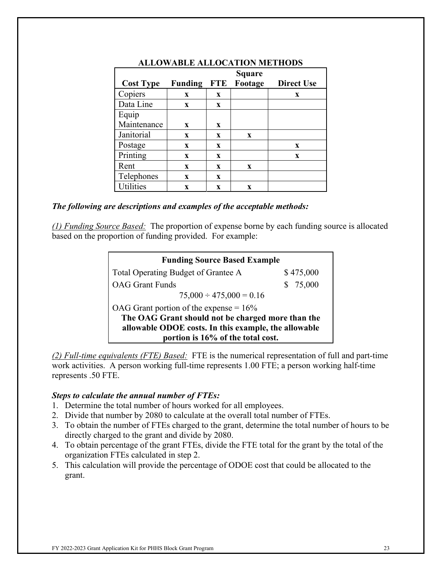|                  | <b>Square</b>  |              |             |                   |
|------------------|----------------|--------------|-------------|-------------------|
| <b>Cost Type</b> | <b>Funding</b> | <b>FTE</b>   | Footage     | <b>Direct Use</b> |
| Copiers          | X              | X            |             | X                 |
| Data Line        | X              | X            |             |                   |
| Equip            |                |              |             |                   |
| Maintenance      | X              | $\mathbf{x}$ |             |                   |
| Janitorial       | $\mathbf X$    | X            | $\mathbf X$ |                   |
| Postage          | X              | X            |             | X                 |
| Printing         | X              | X            |             | $\mathbf{x}$      |
| Rent             | $\mathbf{x}$   | X            | X           |                   |
| Telephones       | $\mathbf{x}$   | X            |             |                   |
| <b>Utilities</b> | X              | X            | X           |                   |

#### **ALLOWABLE ALLOCATION METHODS**

#### *The following are descriptions and examples of the acceptable methods:*

*(1) Funding Source Based:* The proportion of expense borne by each funding source is allocated based on the proportion of funding provided. For example:

| <b>Funding Source Based Example</b>                  |              |  |  |
|------------------------------------------------------|--------------|--|--|
| Total Operating Budget of Grantee A                  | \$475,000    |  |  |
| <b>OAG</b> Grant Funds                               | 75,000<br>S. |  |  |
| $75,000 \div 475,000 = 0.16$                         |              |  |  |
| OAG Grant portion of the expense = $16\%$            |              |  |  |
| The OAG Grant should not be charged more than the    |              |  |  |
| allowable ODOE costs. In this example, the allowable |              |  |  |
| portion is 16% of the total cost.                    |              |  |  |

*(2) Full-time equivalents (FTE) Based:* FTE is the numerical representation of full and part-time work activities. A person working full-time represents 1.00 FTE; a person working half-time represents .50 FTE.

#### *Steps to calculate the annual number of FTEs:*

- 1. Determine the total number of hours worked for all employees.
- 2. Divide that number by 2080 to calculate at the overall total number of FTEs.
- 3. To obtain the number of FTEs charged to the grant, determine the total number of hours to be directly charged to the grant and divide by 2080.
- 4. To obtain percentage of the grant FTEs, divide the FTE total for the grant by the total of the organization FTEs calculated in step 2.
- 5. This calculation will provide the percentage of ODOE cost that could be allocated to the grant.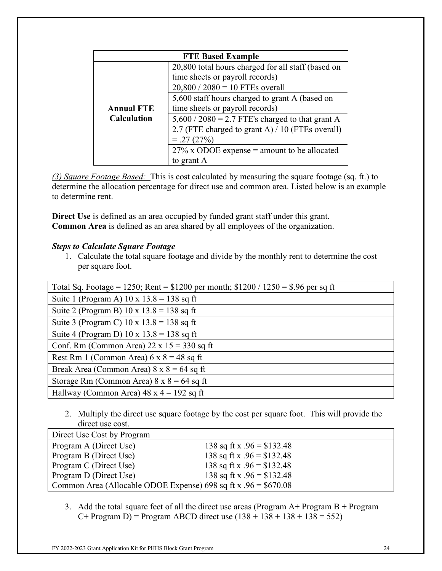|                    | <b>FTE Based Example</b>                           |  |  |  |
|--------------------|----------------------------------------------------|--|--|--|
|                    | 20,800 total hours charged for all staff (based on |  |  |  |
|                    | time sheets or payroll records)                    |  |  |  |
|                    | $20,800 / 2080 = 10$ FTEs overall                  |  |  |  |
|                    | 5,600 staff hours charged to grant A (based on     |  |  |  |
| <b>Annual FTE</b>  | time sheets or payroll records)                    |  |  |  |
| <b>Calculation</b> | $5,600 / 2080 = 2.7$ FTE's charged to that grant A |  |  |  |
|                    | 2.7 (FTE charged to grant A) / 10 (FTEs overall)   |  |  |  |
|                    | $=.27(27%)$                                        |  |  |  |
|                    | $27\%$ x ODOE expense = amount to be allocated     |  |  |  |
|                    | to grant A                                         |  |  |  |

*(3) Square Footage Based:* This is cost calculated by measuring the square footage (sq. ft.) to determine the allocation percentage for direct use and common area. Listed below is an example to determine rent.

**Direct Use** is defined as an area occupied by funded grant staff under this grant. **Common Area** is defined as an area shared by all employees of the organization.

### *Steps to Calculate Square Footage*

1. Calculate the total square footage and divide by the monthly rent to determine the cost per square foot.

| Total Sq. Footage = 1250; Rent = $$1200$ per month; $$1200 / 1250 = $.96$ per sq ft |
|-------------------------------------------------------------------------------------|
| Suite 1 (Program A) $10 \times 13.8 = 138$ sq ft                                    |
| Suite 2 (Program B) $10 \times 13.8 = 138$ sq ft                                    |
| Suite 3 (Program C) $10 \times 13.8 = 138$ sq ft                                    |
| Suite 4 (Program D) $10 \times 13.8 = 138$ sq ft                                    |
| Conf. Rm (Common Area) $22 \times 15 = 330$ sq ft                                   |
| Rest Rm 1 (Common Area) $6 \times 8 = 48$ sq ft                                     |
| Break Area (Common Area) $8 \times 8 = 64$ sq ft                                    |
| Storage Rm (Common Area) $8 \times 8 = 64$ sq ft                                    |
| Hallway (Common Area) $48 \times 4 = 192$ sq ft                                     |

2. Multiply the direct use square footage by the cost per square foot. This will provide the direct use cost.

| Direct Use Cost by Program                                       |                             |
|------------------------------------------------------------------|-----------------------------|
| Program A (Direct Use)                                           | 138 sq ft x $.96 = $132.48$ |
| Program B (Direct Use)                                           | 138 sq ft x $.96 = $132.48$ |
| Program C (Direct Use)                                           | 138 sq ft x $.96 = $132.48$ |
| Program D (Direct Use)                                           | 138 sq ft x $.96 = $132.48$ |
| Common Area (Allocable ODOE Expense) 698 sq ft x $.96 = $670.08$ |                             |

3. Add the total square feet of all the direct use areas (Program  $A+$  Program  $B+$  Program  $C+$  Program D) = Program ABCD direct use  $(138 + 138 + 138 + 138 = 552)$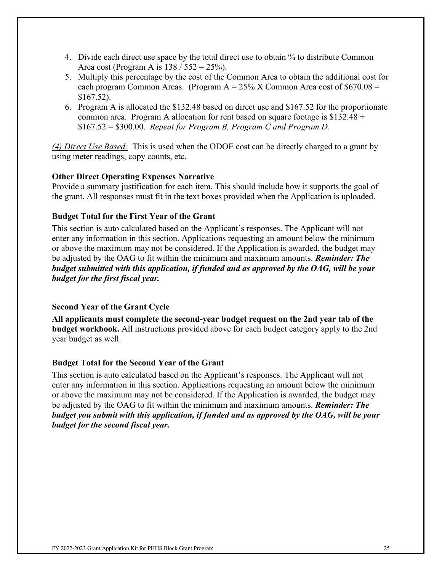- 4. Divide each direct use space by the total direct use to obtain % to distribute Common Area cost (Program A is  $138 / 552 = 25\%$ ).
- 5. Multiply this percentage by the cost of the Common Area to obtain the additional cost for each program Common Areas. (Program  $A = 25\%$  X Common Area cost of \$670.08 = \$167.52).
- 6. Program A is allocated the \$132.48 based on direct use and \$167.52 for the proportionate common area. Program A allocation for rent based on square footage is  $$132.48 +$ \$167.52 = \$300.00. *Repeat for Program B, Program C and Program D*.

*(4) Direct Use Based:* This is used when the ODOE cost can be directly charged to a grant by using meter readings, copy counts, etc.

### **Other Direct Operating Expenses Narrative**

Provide a summary justification for each item. This should include how it supports the goal of the grant. All responses must fit in the text boxes provided when the Application is uploaded.

## **Budget Total for the First Year of the Grant**

This section is auto calculated based on the Applicant's responses. The Applicant will not enter any information in this section. Applications requesting an amount below the minimum or above the maximum may not be considered. If the Application is awarded, the budget may be adjusted by the OAG to fit within the minimum and maximum amounts. *Reminder: The budget submitted with this application, if funded and as approved by the OAG, will be your budget for the first fiscal year.*

### **Second Year of the Grant Cycle**

**All applicants must complete the second-year budget request on the 2nd year tab of the budget workbook.** All instructions provided above for each budget category apply to the 2nd year budget as well.

### **Budget Total for the Second Year of the Grant**

This section is auto calculated based on the Applicant's responses. The Applicant will not enter any information in this section. Applications requesting an amount below the minimum or above the maximum may not be considered. If the Application is awarded, the budget may be adjusted by the OAG to fit within the minimum and maximum amounts. *Reminder: The budget you submit with this application, if funded and as approved by the OAG, will be your budget for the second fiscal year.*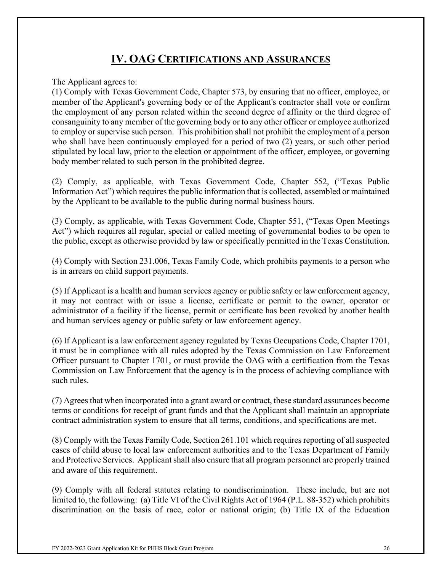## **IV. OAG CERTIFICATIONS AND ASSURANCES**

The Applicant agrees to:

(1) Comply with Texas Government Code, Chapter 573, by ensuring that no officer, employee, or member of the Applicant's governing body or of the Applicant's contractor shall vote or confirm the employment of any person related within the second degree of affinity or the third degree of consanguinity to any member of the governing body or to any other officer or employee authorized to employ or supervise such person. This prohibition shall not prohibit the employment of a person who shall have been continuously employed for a period of two (2) years, or such other period stipulated by local law, prior to the election or appointment of the officer, employee, or governing body member related to such person in the prohibited degree.

(2) Comply, as applicable, with Texas Government Code, Chapter 552, ("Texas Public Information Act") which requires the public information that is collected, assembled or maintained by the Applicant to be available to the public during normal business hours.

(3) Comply, as applicable, with Texas Government Code, Chapter 551, ("Texas Open Meetings Act") which requires all regular, special or called meeting of governmental bodies to be open to the public, except as otherwise provided by law or specifically permitted in the Texas Constitution.

(4) Comply with Section 231.006, Texas Family Code, which prohibits payments to a person who is in arrears on child support payments.

(5) If Applicant is a health and human services agency or public safety or law enforcement agency, it may not contract with or issue a license, certificate or permit to the owner, operator or administrator of a facility if the license, permit or certificate has been revoked by another health and human services agency or public safety or law enforcement agency.

(6) If Applicant is a law enforcement agency regulated by Texas Occupations Code, Chapter 1701, it must be in compliance with all rules adopted by the Texas Commission on Law Enforcement Officer pursuant to Chapter 1701, or must provide the OAG with a certification from the Texas Commission on Law Enforcement that the agency is in the process of achieving compliance with such rules.

(7) Agrees that when incorporated into a grant award or contract, these standard assurances become terms or conditions for receipt of grant funds and that the Applicant shall maintain an appropriate contract administration system to ensure that all terms, conditions, and specifications are met.

(8) Comply with the Texas Family Code, Section 261.101 which requires reporting of all suspected cases of child abuse to local law enforcement authorities and to the Texas Department of Family and Protective Services. Applicant shall also ensure that all program personnel are properly trained and aware of this requirement.

(9) Comply with all federal statutes relating to nondiscrimination. These include, but are not limited to, the following: (a) Title VI of the Civil Rights Act of 1964 (P.L. 88-352) which prohibits discrimination on the basis of race, color or national origin; (b) Title IX of the Education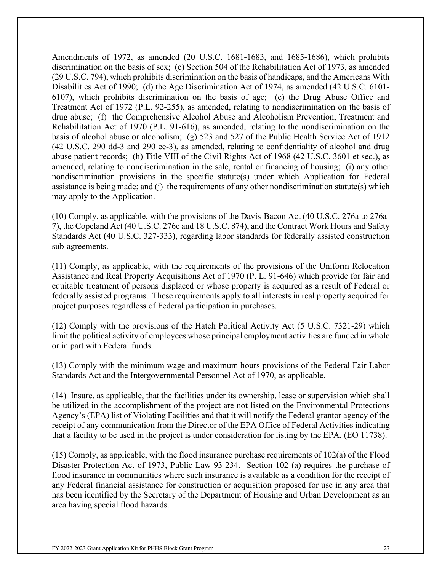Amendments of 1972, as amended (20 U.S.C. 1681-1683, and 1685-1686), which prohibits discrimination on the basis of sex; (c) Section 504 of the Rehabilitation Act of 1973, as amended (29 U.S.C. 794), which prohibits discrimination on the basis of handicaps, and the Americans With Disabilities Act of 1990; (d) the Age Discrimination Act of 1974, as amended (42 U.S.C. 6101- 6107), which prohibits discrimination on the basis of age; (e) the Drug Abuse Office and Treatment Act of 1972 (P.L. 92-255), as amended, relating to nondiscrimination on the basis of drug abuse; (f) the Comprehensive Alcohol Abuse and Alcoholism Prevention, Treatment and Rehabilitation Act of 1970 (P.L. 91-616), as amended, relating to the nondiscrimination on the basis of alcohol abuse or alcoholism; (g) 523 and 527 of the Public Health Service Act of 1912 (42 U.S.C. 290 dd-3 and 290 ee-3), as amended, relating to confidentiality of alcohol and drug abuse patient records; (h) Title VIII of the Civil Rights Act of 1968 (42 U.S.C. 3601 et seq.), as amended, relating to nondiscrimination in the sale, rental or financing of housing; (i) any other nondiscrimination provisions in the specific statute(s) under which Application for Federal assistance is being made; and (j) the requirements of any other nondiscrimination statute(s) which may apply to the Application.

(10) Comply, as applicable, with the provisions of the Davis-Bacon Act (40 U.S.C. 276a to 276a-7), the Copeland Act (40 U.S.C. 276c and 18 U.S.C. 874), and the Contract Work Hours and Safety Standards Act (40 U.S.C. 327-333), regarding labor standards for federally assisted construction sub-agreements.

(11) Comply, as applicable, with the requirements of the provisions of the Uniform Relocation Assistance and Real Property Acquisitions Act of 1970 (P. L. 91-646) which provide for fair and equitable treatment of persons displaced or whose property is acquired as a result of Federal or federally assisted programs. These requirements apply to all interests in real property acquired for project purposes regardless of Federal participation in purchases.

(12) Comply with the provisions of the Hatch Political Activity Act (5 U.S.C. 7321-29) which limit the political activity of employees whose principal employment activities are funded in whole or in part with Federal funds.

(13) Comply with the minimum wage and maximum hours provisions of the Federal Fair Labor Standards Act and the Intergovernmental Personnel Act of 1970, as applicable.

(14) Insure, as applicable, that the facilities under its ownership, lease or supervision which shall be utilized in the accomplishment of the project are not listed on the Environmental Protections Agency's (EPA) list of Violating Facilities and that it will notify the Federal grantor agency of the receipt of any communication from the Director of the EPA Office of Federal Activities indicating that a facility to be used in the project is under consideration for listing by the EPA, (EO 11738).

(15) Comply, as applicable, with the flood insurance purchase requirements of 102(a) of the Flood Disaster Protection Act of 1973, Public Law 93-234. Section 102 (a) requires the purchase of flood insurance in communities where such insurance is available as a condition for the receipt of any Federal financial assistance for construction or acquisition proposed for use in any area that has been identified by the Secretary of the Department of Housing and Urban Development as an area having special flood hazards.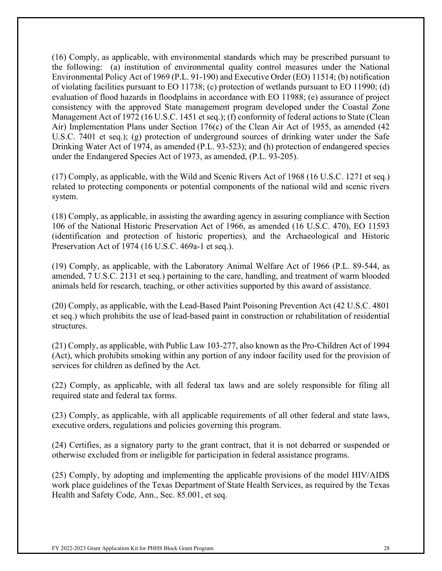(16) Comply, as applicable, with environmental standards which may be prescribed pursuant to the following: (a) institution of environmental quality control measures under the National Environmental Policy Act of 1969 (P.L. 91-190) and Executive Order (EO) 11514; (b) notification of violating facilities pursuant to EO 11738; (c) protection of wetlands pursuant to EO 11990; (d) evaluation of flood hazards in floodplains in accordance with EO 11988; (e) assurance of project consistency with the approved State management program developed under the Coastal Zone Management Act of 1972 (16 U.S.C. 1451 et seq.); (f) conformity of federal actions to State (Clean Air) Implementation Plans under Section 176(c) of the Clean Air Act of 1955, as amended (42 U.S.C. 7401 et seq.); (g) protection of underground sources of drinking water under the Safe Drinking Water Act of 1974, as amended (P.L. 93-523); and (h) protection of endangered species under the Endangered Species Act of 1973, as amended, (P.L. 93-205).

(17) Comply, as applicable, with the Wild and Scenic Rivers Act of 1968 (16 U.S.C. 1271 et seq.) related to protecting components or potential components of the national wild and scenic rivers system.

(18) Comply, as applicable, in assisting the awarding agency in assuring compliance with Section 106 of the National Historic Preservation Act of 1966, as amended (16 U.S.C. 470), EO 11593 (identification and protection of historic properties), and the Archaeological and Historic Preservation Act of 1974 (16 U.S.C. 469a-1 et seq.).

(19) Comply, as applicable, with the Laboratory Animal Welfare Act of 1966 (P.L. 89-544, as amended, 7 U.S.C. 2131 et seq.) pertaining to the care, handling, and treatment of warm blooded animals held for research, teaching, or other activities supported by this award of assistance.

(20) Comply, as applicable, with the Lead-Based Paint Poisoning Prevention Act (42 U.S.C. 4801 et seq.) which prohibits the use of lead-based paint in construction or rehabilitation of residential structures.

(21) Comply, as applicable, with Public Law 103-277, also known as the Pro-Children Act of 1994 (Act), which prohibits smoking within any portion of any indoor facility used for the provision of services for children as defined by the Act.

(22) Comply, as applicable, with all federal tax laws and are solely responsible for filing all required state and federal tax forms.

(23) Comply, as applicable, with all applicable requirements of all other federal and state laws, executive orders, regulations and policies governing this program.

(24) Certifies, as a signatory party to the grant contract, that it is not debarred or suspended or otherwise excluded from or ineligible for participation in federal assistance programs.

(25) Comply, by adopting and implementing the applicable provisions of the model HIV/AIDS work place guidelines of the Texas Department of State Health Services, as required by the Texas Health and Safety Code, Ann., Sec. 85.001, et seq.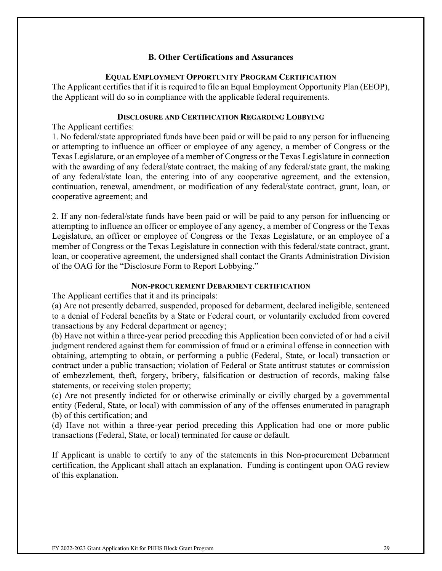#### **B. Other Certifications and Assurances**

#### **EQUAL EMPLOYMENT OPPORTUNITY PROGRAM CERTIFICATION**

The Applicant certifies that if it is required to file an Equal Employment Opportunity Plan (EEOP), the Applicant will do so in compliance with the applicable federal requirements.

#### **DISCLOSURE AND CERTIFICATION REGARDING LOBBYING**

The Applicant certifies:

1. No federal/state appropriated funds have been paid or will be paid to any person for influencing or attempting to influence an officer or employee of any agency, a member of Congress or the Texas Legislature, or an employee of a member of Congress or the Texas Legislature in connection with the awarding of any federal/state contract, the making of any federal/state grant, the making of any federal/state loan, the entering into of any cooperative agreement, and the extension, continuation, renewal, amendment, or modification of any federal/state contract, grant, loan, or cooperative agreement; and

2. If any non-federal/state funds have been paid or will be paid to any person for influencing or attempting to influence an officer or employee of any agency, a member of Congress or the Texas Legislature, an officer or employee of Congress or the Texas Legislature, or an employee of a member of Congress or the Texas Legislature in connection with this federal/state contract, grant, loan, or cooperative agreement, the undersigned shall contact the Grants Administration Division of the OAG for the "Disclosure Form to Report Lobbying."

#### **NON-PROCUREMENT DEBARMENT CERTIFICATION**

The Applicant certifies that it and its principals:

(a) Are not presently debarred, suspended, proposed for debarment, declared ineligible, sentenced to a denial of Federal benefits by a State or Federal court, or voluntarily excluded from covered transactions by any Federal department or agency;

(b) Have not within a three-year period preceding this Application been convicted of or had a civil judgment rendered against them for commission of fraud or a criminal offense in connection with obtaining, attempting to obtain, or performing a public (Federal, State, or local) transaction or contract under a public transaction; violation of Federal or State antitrust statutes or commission of embezzlement, theft, forgery, bribery, falsification or destruction of records, making false statements, or receiving stolen property;

(c) Are not presently indicted for or otherwise criminally or civilly charged by a governmental entity (Federal, State, or local) with commission of any of the offenses enumerated in paragraph (b) of this certification; and

(d) Have not within a three-year period preceding this Application had one or more public transactions (Federal, State, or local) terminated for cause or default.

If Applicant is unable to certify to any of the statements in this Non-procurement Debarment certification, the Applicant shall attach an explanation. Funding is contingent upon OAG review of this explanation.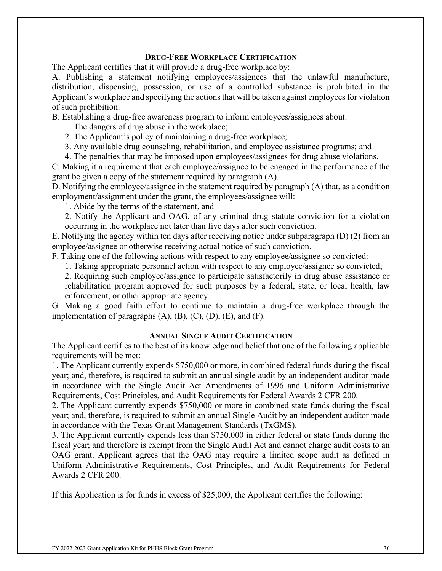#### **DRUG-FREE WORKPLACE CERTIFICATION**

The Applicant certifies that it will provide a drug-free workplace by:

A. Publishing a statement notifying employees/assignees that the unlawful manufacture, distribution, dispensing, possession, or use of a controlled substance is prohibited in the Applicant's workplace and specifying the actions that will be taken against employees for violation of such prohibition.

B. Establishing a drug-free awareness program to inform employees/assignees about:

1. The dangers of drug abuse in the workplace;

2. The Applicant's policy of maintaining a drug-free workplace;

3. Any available drug counseling, rehabilitation, and employee assistance programs; and

4. The penalties that may be imposed upon employees/assignees for drug abuse violations.

C. Making it a requirement that each employee/assignee to be engaged in the performance of the grant be given a copy of the statement required by paragraph (A).

D. Notifying the employee/assignee in the statement required by paragraph (A) that, as a condition employment/assignment under the grant, the employees/assignee will:

1. Abide by the terms of the statement, and

2. Notify the Applicant and OAG, of any criminal drug statute conviction for a violation occurring in the workplace not later than five days after such conviction.

E. Notifying the agency within ten days after receiving notice under subparagraph (D) (2) from an employee/assignee or otherwise receiving actual notice of such conviction.

F. Taking one of the following actions with respect to any employee/assignee so convicted:

1. Taking appropriate personnel action with respect to any employee/assignee so convicted;

2. Requiring such employee/assignee to participate satisfactorily in drug abuse assistance or rehabilitation program approved for such purposes by a federal, state, or local health, law enforcement, or other appropriate agency.

G. Making a good faith effort to continue to maintain a drug-free workplace through the implementation of paragraphs  $(A)$ ,  $(B)$ ,  $(C)$ ,  $(D)$ ,  $(E)$ , and  $(F)$ .

#### **ANNUAL SINGLE AUDIT CERTIFICATION**

The Applicant certifies to the best of its knowledge and belief that one of the following applicable requirements will be met:

1. The Applicant currently expends \$750,000 or more, in combined federal funds during the fiscal year; and, therefore, is required to submit an annual single audit by an independent auditor made in accordance with the Single Audit Act Amendments of 1996 and Uniform Administrative Requirements, Cost Principles, and Audit Requirements for Federal Awards 2 CFR 200.

2. The Applicant currently expends \$750,000 or more in combined state funds during the fiscal year; and, therefore, is required to submit an annual Single Audit by an independent auditor made in accordance with the Texas Grant Management Standards (TxGMS).

3. The Applicant currently expends less than \$750,000 in either federal or state funds during the fiscal year; and therefore is exempt from the Single Audit Act and cannot charge audit costs to an OAG grant. Applicant agrees that the OAG may require a limited scope audit as defined in Uniform Administrative Requirements, Cost Principles, and Audit Requirements for Federal Awards 2 CFR 200.

If this Application is for funds in excess of \$25,000, the Applicant certifies the following: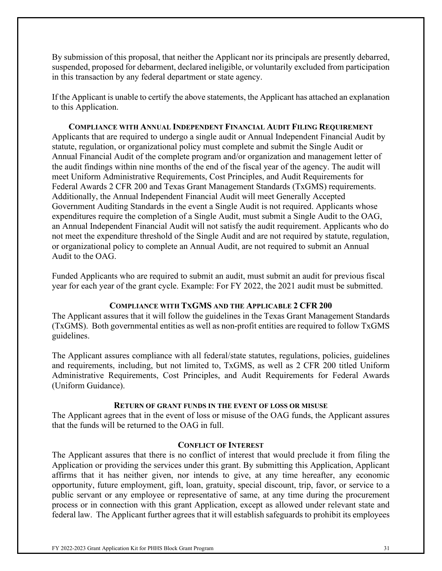By submission of this proposal, that neither the Applicant nor its principals are presently debarred, suspended, proposed for debarment, declared ineligible, or voluntarily excluded from participation in this transaction by any federal department or state agency.

If the Applicant is unable to certify the above statements, the Applicant has attached an explanation to this Application.

**COMPLIANCE WITH ANNUAL INDEPENDENT FINANCIAL AUDIT FILING REQUIREMENT** Applicants that are required to undergo a single audit or Annual Independent Financial Audit by statute, regulation, or organizational policy must complete and submit the Single Audit or Annual Financial Audit of the complete program and/or organization and management letter of the audit findings within nine months of the end of the fiscal year of the agency. The audit will meet Uniform Administrative Requirements, Cost Principles, and Audit Requirements for Federal Awards 2 CFR 200 and Texas Grant Management Standards (TxGMS) requirements. Additionally, the Annual Independent Financial Audit will meet Generally Accepted Government Auditing Standards in the event a Single Audit is not required. Applicants whose expenditures require the completion of a Single Audit, must submit a Single Audit to the OAG, an Annual Independent Financial Audit will not satisfy the audit requirement. Applicants who do not meet the expenditure threshold of the Single Audit and are not required by statute, regulation, or organizational policy to complete an Annual Audit, are not required to submit an Annual Audit to the OAG.

Funded Applicants who are required to submit an audit, must submit an audit for previous fiscal year for each year of the grant cycle. Example: For FY 2022, the 2021 audit must be submitted.

#### **COMPLIANCE WITH TXGMS AND THE APPLICABLE 2 CFR 200**

The Applicant assures that it will follow the guidelines in the Texas Grant Management Standards (TxGMS). Both governmental entities as well as non-profit entities are required to follow TxGMS guidelines.

The Applicant assures compliance with all federal/state statutes, regulations, policies, guidelines and requirements, including, but not limited to, TxGMS, as well as 2 CFR 200 titled Uniform Administrative Requirements, Cost Principles, and Audit Requirements for Federal Awards (Uniform Guidance).

#### **RETURN OF GRANT FUNDS IN THE EVENT OF LOSS OR MISUSE**

The Applicant agrees that in the event of loss or misuse of the OAG funds, the Applicant assures that the funds will be returned to the OAG in full.

#### **CONFLICT OF INTEREST**

The Applicant assures that there is no conflict of interest that would preclude it from filing the Application or providing the services under this grant. By submitting this Application, Applicant affirms that it has neither given, nor intends to give, at any time hereafter, any economic opportunity, future employment, gift, loan, gratuity, special discount, trip, favor, or service to a public servant or any employee or representative of same, at any time during the procurement process or in connection with this grant Application, except as allowed under relevant state and federal law. The Applicant further agrees that it will establish safeguards to prohibit its employees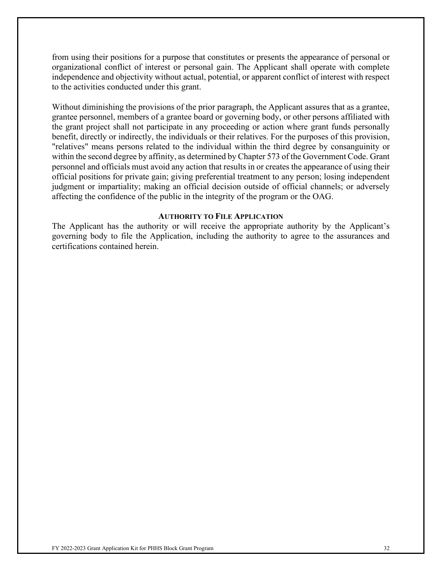from using their positions for a purpose that constitutes or presents the appearance of personal or organizational conflict of interest or personal gain. The Applicant shall operate with complete independence and objectivity without actual, potential, or apparent conflict of interest with respect to the activities conducted under this grant.

Without diminishing the provisions of the prior paragraph, the Applicant assures that as a grantee, grantee personnel, members of a grantee board or governing body, or other persons affiliated with the grant project shall not participate in any proceeding or action where grant funds personally benefit, directly or indirectly, the individuals or their relatives. For the purposes of this provision, "relatives" means persons related to the individual within the third degree by consanguinity or within the second degree by affinity, as determined by Chapter 573 of the Government Code. Grant personnel and officials must avoid any action that results in or creates the appearance of using their official positions for private gain; giving preferential treatment to any person; losing independent judgment or impartiality; making an official decision outside of official channels; or adversely affecting the confidence of the public in the integrity of the program or the OAG.

#### **AUTHORITY TO FILE APPLICATION**

The Applicant has the authority or will receive the appropriate authority by the Applicant's governing body to file the Application, including the authority to agree to the assurances and certifications contained herein.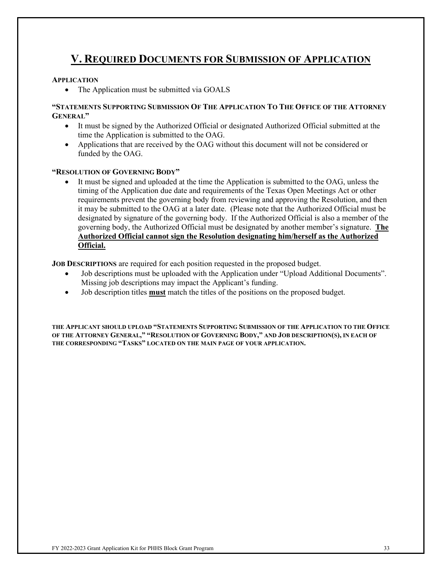## **V. REQUIRED DOCUMENTS FOR SUBMISSION OF APPLICATION**

#### **APPLICATION**

• The Application must be submitted via GOALS

#### **"STATEMENTS SUPPORTING SUBMISSION OF THE APPLICATION TO THE OFFICE OF THE ATTORNEY GENERAL"**

- It must be signed by the Authorized Official or designated Authorized Official submitted at the time the Application is submitted to the OAG.
- Applications that are received by the OAG without this document will not be considered or funded by the OAG.

#### **"RESOLUTION OF GOVERNING BODY"**

• It must be signed and uploaded at the time the Application is submitted to the OAG, unless the timing of the Application due date and requirements of the Texas Open Meetings Act or other requirements prevent the governing body from reviewing and approving the Resolution, and then it may be submitted to the OAG at a later date. (Please note that the Authorized Official must be designated by signature of the governing body. If the Authorized Official is also a member of the governing body, the Authorized Official must be designated by another member's signature. **The Authorized Official cannot sign the Resolution designating him/herself as the Authorized Official.**

**JOB DESCRIPTIONS** are required for each position requested in the proposed budget.

- Job descriptions must be uploaded with the Application under "Upload Additional Documents". Missing job descriptions may impact the Applicant's funding.
- Job description titles **must** match the titles of the positions on the proposed budget.

**THE APPLICANT SHOULD UPLOAD "STATEMENTS SUPPORTING SUBMISSION OF THE APPLICATION TO THE OFFICE OF THE ATTORNEY GENERAL," "RESOLUTION OF GOVERNING BODY," AND JOB DESCRIPTION(S), IN EACH OF THE CORRESPONDING "TASKS" LOCATED ON THE MAIN PAGE OF YOUR APPLICATION.**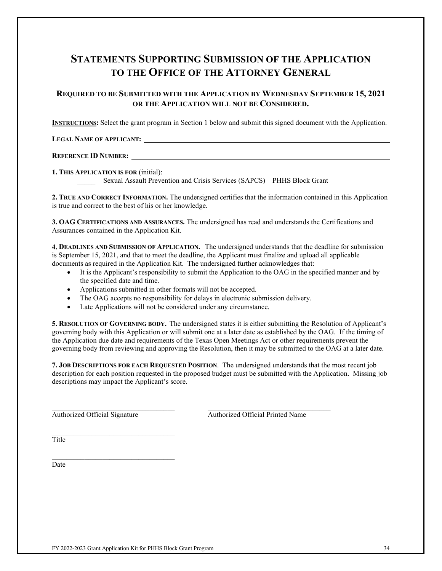## **STATEMENTS SUPPORTING SUBMISSION OF THE APPLICATION TO THE OFFICE OF THE ATTORNEY GENERAL**

#### **REQUIRED TO BE SUBMITTED WITH THE APPLICATION BY WEDNESDAY SEPTEMBER 15, 2021 OR THE APPLICATION WILL NOT BE CONSIDERED.**

**INSTRUCTIONS:** Select the grant program in Section 1 below and submit this signed document with the Application.

**LEGAL NAME OF APPLICANT:** 

#### **REFERENCE ID NUMBER:**

**1. THIS APPLICATION IS FOR** (initial):

Sexual Assault Prevention and Crisis Services (SAPCS) – PHHS Block Grant

**2. TRUE AND CORRECT INFORMATION.** The undersigned certifies that the information contained in this Application is true and correct to the best of his or her knowledge.

**3. OAG CERTIFICATIONS AND ASSURANCES.** The undersigned has read and understands the Certifications and Assurances contained in the Application Kit.

**4. DEADLINES AND SUBMISSION OF APPLICATION.** The undersigned understands that the deadline for submission is September 15, 2021, and that to meet the deadline, the Applicant must finalize and upload all applicable documents as required in the Application Kit. The undersigned further acknowledges that:

- It is the Applicant's responsibility to submit the Application to the OAG in the specified manner and by the specified date and time.
- Applications submitted in other formats will not be accepted.
- The OAG accepts no responsibility for delays in electronic submission delivery.

\_\_\_\_\_\_\_\_\_\_\_\_\_\_\_\_\_\_\_\_\_\_\_\_\_\_\_\_\_\_\_\_\_\_ \_\_\_\_\_\_\_\_\_\_\_\_\_\_\_\_\_\_\_\_\_\_\_\_\_\_\_\_\_\_\_\_\_\_

• Late Applications will not be considered under any circumstance.

**5. RESOLUTION OF GOVERNING BODY.** The undersigned states it is either submitting the Resolution of Applicant's governing body with this Application or will submit one at a later date as established by the OAG. If the timing of the Application due date and requirements of the Texas Open Meetings Act or other requirements prevent the governing body from reviewing and approving the Resolution, then it may be submitted to the OAG at a later date.

**7. JOB DESCRIPTIONS FOR EACH REQUESTED POSITION**. The undersigned understands that the most recent job description for each position requested in the proposed budget must be submitted with the Application. Missing job descriptions may impact the Applicant's score.

 $\overline{\phantom{a}}$  , and the set of the set of the set of the set of the set of the set of the set of the set of the set of the set of the set of the set of the set of the set of the set of the set of the set of the set of the s

 $\_$  . The set of the set of the set of the set of the set of the set of the set of the set of the set of the set of the set of the set of the set of the set of the set of the set of the set of the set of the set of the se

Authorized Official Signature Authorized Official Printed Name

**Title** 

Date